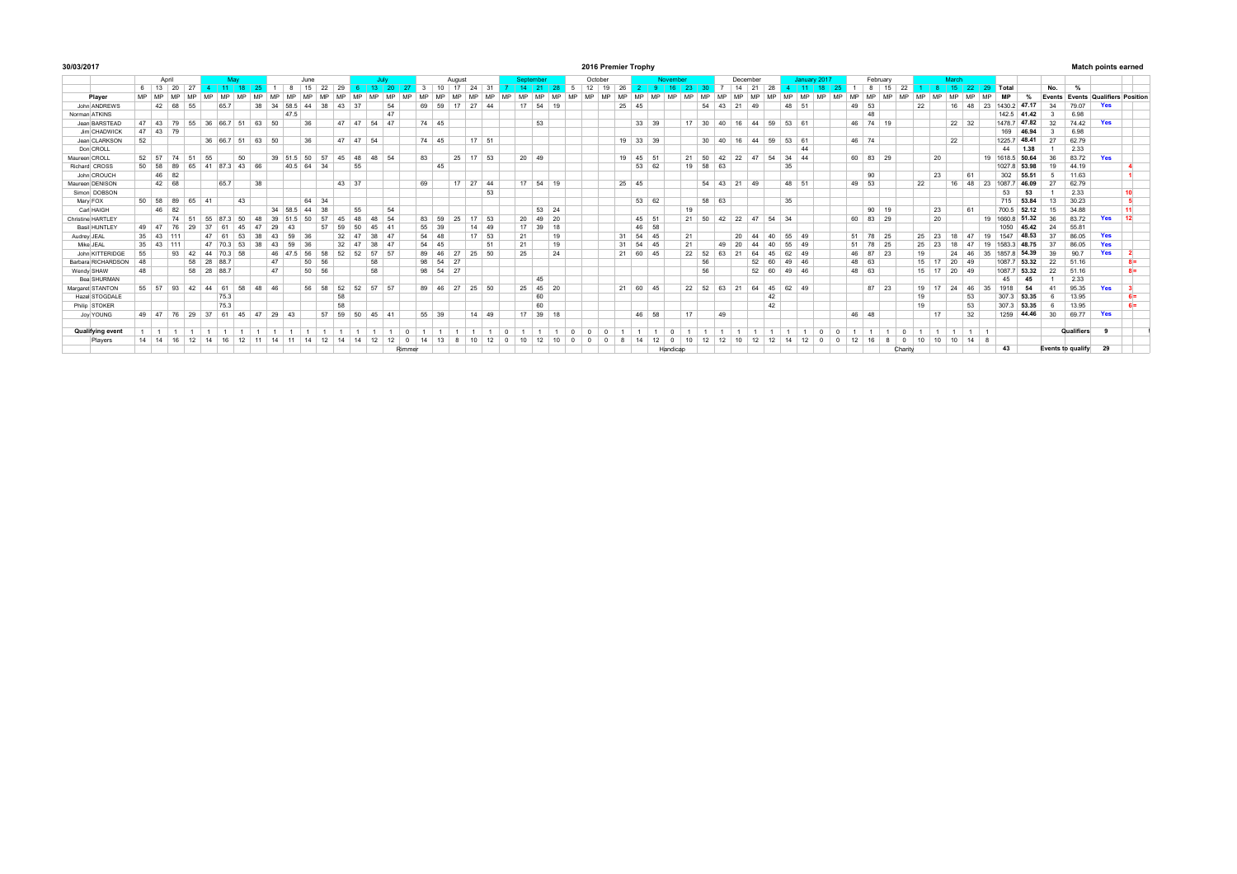| 30/03/2017              |       |                |                      |       |       |                      |     |                |         |                   |       |       |       |                |           |        |       |                 |        |                       |              |              |                 | 2016 Premier Trophy |              |    |          |              |          |                         |           |                         |          |             |           |       |              |           |              |              |                |    |                 |              |           |                |              |       | <b>Match points earned</b> |                      |     |                                   |
|-------------------------|-------|----------------|----------------------|-------|-------|----------------------|-----|----------------|---------|-------------------|-------|-------|-------|----------------|-----------|--------|-------|-----------------|--------|-----------------------|--------------|--------------|-----------------|---------------------|--------------|----|----------|--------------|----------|-------------------------|-----------|-------------------------|----------|-------------|-----------|-------|--------------|-----------|--------------|--------------|----------------|----|-----------------|--------------|-----------|----------------|--------------|-------|----------------------------|----------------------|-----|-----------------------------------|
|                         | April |                |                      |       |       |                      | May |                |         |                   | June  |       |       |                | July      |        |       |                 | August |                       |              | Sentember    |                 |                     | October      |    |          |              | November |                         |           |                         | December |             |           |       | January 2017 |           |              | February     |                |    |                 | March        |           |                |              |       |                            |                      |     |                                   |
|                         |       |                | 6 13 20              | 27    |       |                      | 18  |                |         |                   | 15    | 22    | 29    |                | ാറ        |        |       | 10 <sup>1</sup> | 17     | 31<br>24              |              |              |                 | $-5$                | $12 \mid 19$ | 26 |          |              |          | 23                      |           |                         | 14 21    | 28          |           |       | 40           |           |              | 15           | 22             |    |                 |              |           | 15 22 29 Total |              |       | No.                        | %                    |     |                                   |
| Player                  |       | MP MP          | MP                   |       |       | <b>MD</b>            | MD  |                |         |                   |       |       |       | <b>MC</b>      | <b>MD</b> |        |       |                 |        |                       |              |              | AD              |                     |              |    | A 4D     | A 4D         |          | <b>MD</b>               | A 4D      |                         |          |             | i am      | A 4D  |              | <b>MD</b> |              | MP           |                |    | MD              | <b>MD</b>    | <b>MD</b> | <b>MD</b>      | <b>MP</b>    |       |                            |                      |     | Events Events Qualifiers Position |
| John ANDREWS            |       |                | 42 68                | 55    |       | 65.7                 |     | 38             | 34      | 58.5 44           |       | 38    | 43    | 37             | 54        |        |       | 69 59           | 17     | 27 44                 |              | 17 54 19     |                 |                     |              |    | 25 45    |              |          |                         |           | $54$ 43 21 49           |          |             |           | 48 51 |              |           | 49 53        |              |                | 22 |                 | $16 \mid 48$ |           | 23             | 1430.2 47.17 |       | 34                         | 79.07                | Yes |                                   |
| Norman ATKINS           |       |                |                      |       |       |                      |     |                |         | 47.5              |       |       |       |                | 47        |        |       |                 |        |                       |              |              |                 |                     |              |    |          |              |          |                         |           |                         |          |             |           |       |              |           |              | 48           |                |    |                 |              |           |                | 142 5 41.42  |       |                            | 6.98                 |     |                                   |
| Jean BARSTEAD           | 47    |                | 43 79                |       |       | 55 36 66.7           | 51  | 63             | 50      |                   | 36    |       |       | 47 47 54 47    |           |        | 74 45 |                 |        |                       |              | 53           |                 |                     |              |    |          | 33 39        |          |                         |           | 17 30 40 16 44 59 53 61 |          |             |           |       |              |           |              | 46 74 19     |                |    |                 | 22 32        |           |                | 1478.7 47.82 |       | 32                         | 74.42                | Yes |                                   |
| Jim CHADWICK            |       |                | $47$ 43 79           |       |       |                      |     |                |         |                   |       |       |       |                |           |        |       |                 |        |                       |              |              |                 |                     |              |    |          |              |          |                         |           |                         |          |             |           |       |              |           |              |              |                |    |                 |              |           |                | 169          | 46.94 |                            | 6.98                 |     |                                   |
| Jean CLARKSON           | 52    |                |                      |       |       | 36 66.7 51           |     | 63 50          |         |                   | 36    |       |       | 47 47 54       |           |        | 74 45 |                 |        | 17 51                 |              |              |                 |                     |              |    | 19 33 39 |              |          |                         | $30 \ 40$ | 16                      |          | 44 59 53 61 |           |       |              |           | 46 74        |              |                |    |                 | 22           |           |                | 1225.7       | 48.41 | 27                         | 62.79                |     |                                   |
| Don CROLL               |       |                |                      |       |       |                      |     |                |         |                   |       |       |       |                |           |        |       |                 |        |                       |              |              |                 |                     |              |    |          |              |          |                         |           |                         |          |             |           | 44    |              |           |              |              |                |    |                 |              |           |                | 44           | 1.38  |                            | 2.33                 |     |                                   |
| Maureen CROLL           |       |                | 52 57 74             | 51    | 55    |                      | 50  |                |         | 39 51.5           | 50    | 57    | 45    | 48             | 48 54     |        | 83    |                 |        | 25 17 53              | $20 \mid 49$ |              |                 |                     |              |    | 19 45 51 |              |          | $21 \quad 50$           |           | 42 22                   | 47       | 54          | $34 \ 44$ |       |              |           | 60 83        | 29           |                |    | 20              |              |           | 19             | 1618.5       | 50.64 | 36                         | 83.72                | Yes |                                   |
| Richard CROSS           |       |                | $50 \mid 58 \mid 89$ | 65    | 41    | 87.3 43 66           |     |                |         | 40.5 64 34        |       |       |       | 55             |           |        |       | 45              |        |                       |              |              |                 |                     |              |    |          | $53 \ 62$    |          | 19 58 63                |           |                         |          |             | 35        |       |              |           |              |              |                |    |                 |              |           |                | 1027.8 53.98 |       | 19                         | 44.19                |     |                                   |
| John CROUCH             |       |                | 46 82                |       |       |                      |     |                |         |                   |       |       |       |                |           |        |       |                 |        |                       |              |              |                 |                     |              |    |          |              |          |                         |           |                         |          |             |           |       |              |           |              | 90           |                |    | 23              |              | 61        |                | 302          | 55.51 | 5                          | 11.63                |     |                                   |
| Maureen DENISON         |       |                | 42 68                |       |       | 65.7                 |     | 38             |         |                   |       |       | 43 37 |                |           |        | 69    |                 |        | 17 27 44              |              | 17 54 19     |                 |                     |              |    | 25 45    |              |          |                         |           | 54 43 21 49             |          |             |           | 48 51 |              |           | 49 53        |              |                | 22 |                 | 16           | 48        | 23             | 1087.7       | 46.09 | 27                         | 62.79                |     |                                   |
| Simon DOBSON            |       |                |                      |       |       |                      |     |                |         |                   |       |       |       |                |           |        |       |                 |        | 53                    |              |              |                 |                     |              |    |          |              |          |                         |           |                         |          |             |           |       |              |           |              |              |                |    |                 |              |           |                | 53           | 53    |                            | 2.33                 |     | 10                                |
| Mary FOX                |       |                | 50 58 89             | 65    | 41    |                      | 43  |                |         |                   | 64 34 |       |       |                |           |        |       |                 |        |                       |              |              |                 |                     |              |    |          | $53 \mid 62$ |          |                         | 58 63     |                         |          |             | 35        |       |              |           |              |              |                |    |                 |              |           |                | 715          | 53.84 | 13                         | 30.23                |     | - 5                               |
| Carl HAIGH              |       |                | 46 82                |       |       |                      |     |                | 34 58 5 |                   | 44    | 38    |       | 55             | 54        |        |       |                 |        |                       |              | $53 \mid 24$ |                 |                     |              |    |          |              |          | 19                      |           |                         |          |             |           |       |              |           |              | $90 \mid 19$ |                |    | 23              |              | 61        |                | 700.5        | 52.12 | 15                         | 34.88                |     | 11                                |
| Christine HARTLEY       |       |                |                      | 74 51 | 55    | 873                  | 50  | 48             | 39      |                   | 50    | 57    |       | 48             | 54<br>48  |        | 83 59 |                 | 25     | $17$ 53               | 20           | 49 20        |                 |                     |              |    |          | 45 51        |          | 21 50                   |           | 42 22                   |          | 47 54 34    |           |       |              |           |              | 60 83 29     |                |    | 20              |              |           | 19             | 1660.8       | 51.32 | 36                         | 83.72                | Yes | 12                                |
| Basil HUNTLEY           |       | 49 47          |                      | 76 29 | 37    | 61                   | 45  | $\overline{A}$ | 29      |                   |       | 57    | 59    | 50             | 45 41     |        | 55 39 |                 |        | 14 49                 | 17           | 39 18        |                 |                     |              |    |          | 46 58        |          |                         |           |                         |          |             |           |       |              |           |              |              |                |    |                 |              |           |                | 1050         | 45.42 | 24                         | 55.81                |     |                                   |
| Audrey JEAL             |       |                | 35 43 111            |       | 47    | 61                   | 53  | 38             | 43      | 59                | 36    |       | 32    | $\overline{A}$ | 38 47     |        | 54 48 |                 |        | $17 \quad 53$         | 21           |              | 19              |                     |              |    | 31 54 45 |              |          | 21                      |           |                         | 20<br>44 | 40          | 55 49     |       |              |           | $51 \mid 78$ | 25           |                |    | 25 23           | 18           | 47        | 19             | 1547         | 48.53 | 37                         | 86.05                | Yes |                                   |
| Mike JEAL               |       | $35 \mid 43$   | 111                  |       |       | 47 70.3 53           |     | 38             | 43      | 59                | 36    |       | 32    | 47             | 38 47     |        | 54 45 |                 |        | 51                    | 21           |              | 19              |                     |              |    | 31 54 45 |              |          | 21                      |           | 20<br>49                | 44       | 40          |           | 55 49 |              |           |              | 51 78 25     |                |    | $25 \mid 23$    | 18           | 47        | 19             | 15833        | 48.75 | 37                         | 86.05                | Yes |                                   |
| John KITTERIDGE         | 55    |                |                      | 93 42 |       | 44 70.3 58           |     |                |         | 46 47.5           | $-56$ | 58    | 52    | 52             | 57 57     |        |       | 89 46           | 27     | 25 50                 | 25           |              | 24              |                     |              |    | 21 60 45 |              |          | 22 52                   |           | 63<br>21                | 64       | 45          |           | 62 49 |              |           |              | 46 87 23     |                | 19 |                 | 24           | 46        | 35             | 1857.8       | 54.39 | 39                         | 90.7                 | Yes |                                   |
| Barbara RICHARDSON      | 48    |                |                      |       | 58 28 | 88.7                 |     |                | 47      |                   | 50 56 |       |       |                | 58        |        | 98 54 |                 | 27     |                       |              |              |                 |                     |              |    |          |              |          |                         | 56        |                         | 52       | 60          | 49 46     |       |              |           | 48 63        |              |                |    | 15 17           | 20           | 49        |                | 10877        | 53.32 | 22                         | 51.16                |     | $8 =$                             |
| Wendy SHAW              | 48    |                |                      |       | 58 28 | 88.7                 |     |                | 47      |                   | 50 56 |       |       | 58             |           |        | 98 54 |                 | 27     |                       |              |              |                 |                     |              |    |          |              |          |                         | 56        |                         | 52       | 60          | 49 46     |       |              |           | 48 63        |              |                |    | 15 17           | 20 49        |           |                | 1087.7       | 53.32 | 22                         | 51.16                |     | $8 =$                             |
| Bea SHURMAN             |       |                |                      |       |       |                      |     |                |         |                   |       |       |       |                |           |        |       |                 |        |                       |              | 45           |                 |                     |              |    |          |              |          |                         |           |                         |          |             |           |       |              |           |              |              |                |    |                 |              |           |                | 45           | 45    |                            | 2.33                 |     |                                   |
| Margaret STANTON        |       |                |                      |       |       | 55 57 93 42 44 61 58 |     | 48 46          |         |                   | 56 58 |       |       | 52 52 57 57    |           |        |       |                 |        | 89 46 27 25 50        |              | 25 45 20     |                 |                     |              |    | 21 60 45 |              |          | 22 52 63 21 64 45 62 49 |           |                         |          |             |           |       |              |           |              | 87 23        |                |    | 19 17 24 46 35  |              |           |                | 1918         | 54    |                            | 95.35                | Yes |                                   |
| Hazel STOGDALE          |       |                |                      |       |       | 75.3                 |     |                |         |                   |       |       | 58    |                |           |        |       |                 |        |                       |              | 60           |                 |                     |              |    |          |              |          |                         |           |                         |          | 42          |           |       |              |           |              |              |                | 19 |                 |              | 53        |                | 307.3        | 53.35 |                            | 13.95                |     | $6 =$                             |
| Philip STOKER           |       |                |                      |       |       | 75.3                 |     |                |         |                   |       |       | 58    |                |           |        |       |                 |        |                       |              | 60           |                 |                     |              |    |          |              |          |                         |           |                         |          | 42          |           |       |              |           |              |              |                | 19 |                 |              | 53        |                | 307.3        | 53.35 |                            | 13.95                |     | $6 =$                             |
| Joy YOUNG               |       |                | 49 47 76 29          |       | 37    | 61                   | 45  | 47             | 29 43   |                   |       | 57 59 |       | 50             | 45 41     |        | 55 39 |                 |        | 14 49                 | 17           | 39 18        |                 |                     |              |    |          | 46 58        |          | 17                      |           | 49                      |          |             |           |       |              |           | 46 48        |              |                |    | 17              |              | 32        |                | 1259         | 44.46 | 30                         | 69.77                | Yes |                                   |
|                         |       |                |                      |       |       |                      |     |                |         |                   |       |       |       |                |           |        |       |                 |        |                       |              |              |                 |                     |              |    |          |              |          |                         |           |                         |          |             |           |       |              |           |              |              |                |    |                 |              |           |                |              |       |                            |                      |     |                                   |
| <b>Qualifying event</b> |       | $\overline{1}$ |                      |       |       |                      |     |                |         |                   |       |       |       |                |           |        |       |                 |        |                       |              |              |                 |                     |              |    |          |              |          |                         |           |                         |          |             |           |       |              |           |              |              |                |    |                 |              |           |                |              |       |                            | Qualifiers           | - 9 |                                   |
| Players                 |       |                |                      |       |       | 14 14 16 12 14 16    |     |                |         | 12 11 14 11 14 12 |       |       | 14    | 14             | 12 12     |        | 14    | 13              |        | 10<br>12 <sup>1</sup> | 10           |              | 10 <sup>1</sup> |                     |              | -8 |          | 14 12        | $\Omega$ | 10                      | 12        | 12                      | 10<br>12 | 12          |           | 12    |              | $\Omega$  | 12           | 16<br>-8     | $\overline{0}$ | 10 | 10 <sup>1</sup> | 10           | $14$ 8    |                |              |       |                            |                      |     |                                   |
|                         |       |                |                      |       |       |                      |     |                |         |                   |       |       |       |                |           | Rimmer |       |                 |        |                       |              |              |                 |                     |              |    |          |              | Handicap |                         |           |                         |          |             |           |       |              |           |              |              | Charity        |    |                 |              |           |                | 43           |       |                            | Events to qualify 29 |     |                                   |